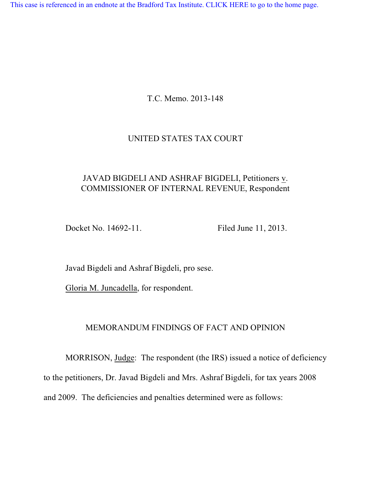[This case is referenced in an endnote at the Bradford Tax Institute. CLICK HERE to go to the home page.](http://bradfordtaxinstitute.com/index1.aspx)

T.C. Memo. 2013-148

## UNITED STATES TAX COURT

# JAVAD BIGDELI AND ASHRAF BIGDELI, Petitioners v. COMMISSIONER OF INTERNAL REVENUE, Respondent

Docket No. 14692-11. Filed June 11, 2013.

Javad Bigdeli and Ashraf Bigdeli, pro sese.

Gloria M. Juncadella, for respondent.

## MEMORANDUM FINDINGS OF FACT AND OPINION

MORRISON, Judge: The respondent (the IRS) issued a notice of deficiency to the petitioners, Dr. Javad Bigdeli and Mrs. Ashraf Bigdeli, for tax years 2008 and 2009. The deficiencies and penalties determined were as follows: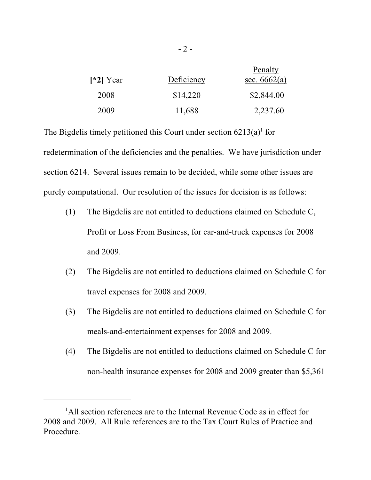| $\lceil 2 \rceil$ Year | Deficiency | Penalty<br>sec. $6662(a)$ |
|------------------------|------------|---------------------------|
| 2008                   | \$14,220   | \$2,844.00                |
| 2009                   | 11,688     | 2,237.60                  |

The Bigdelis timely petitioned this Court under section  $6213(a)$ <sup>1</sup> for redetermination of the deficiencies and the penalties. We have jurisdiction under section 6214. Several issues remain to be decided, while some other issues are purely computational. Our resolution of the issues for decision is as follows:

- (1) The Bigdelis are not entitled to deductions claimed on Schedule C, Profit or Loss From Business, for car-and-truck expenses for 2008 and 2009.
- (2) The Bigdelis are not entitled to deductions claimed on Schedule C for travel expenses for 2008 and 2009.
- (3) The Bigdelis are not entitled to deductions claimed on Schedule C for meals-and-entertainment expenses for 2008 and 2009.
- (4) The Bigdelis are not entitled to deductions claimed on Schedule C for non-health insurance expenses for 2008 and 2009 greater than \$5,361

<sup>&</sup>lt;sup>1</sup>All section references are to the Internal Revenue Code as in effect for 2008 and 2009. All Rule references are to the Tax Court Rules of Practice and Procedure.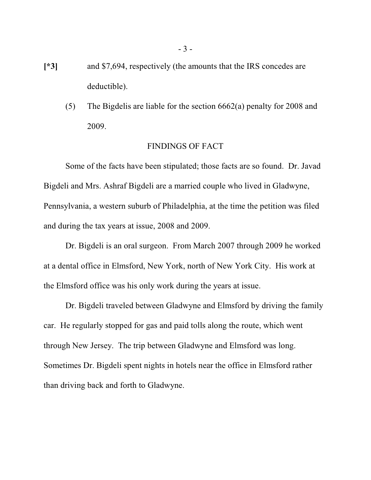- **[\*3]** and \$7,694, respectively (the amounts that the IRS concedes are deductible).
	- (5) The Bigdelis are liable for the section 6662(a) penalty for 2008 and 2009.

#### FINDINGS OF FACT

Some of the facts have been stipulated; those facts are so found. Dr. Javad Bigdeli and Mrs. Ashraf Bigdeli are a married couple who lived in Gladwyne, Pennsylvania, a western suburb of Philadelphia, at the time the petition was filed and during the tax years at issue, 2008 and 2009.

Dr. Bigdeli is an oral surgeon. From March 2007 through 2009 he worked at a dental office in Elmsford, New York, north of New York City. His work at the Elmsford office was his only work during the years at issue.

Dr. Bigdeli traveled between Gladwyne and Elmsford by driving the family car. He regularly stopped for gas and paid tolls along the route, which went through New Jersey. The trip between Gladwyne and Elmsford was long. Sometimes Dr. Bigdeli spent nights in hotels near the office in Elmsford rather than driving back and forth to Gladwyne.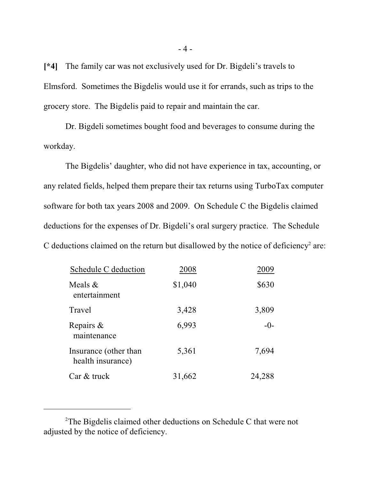**[\*4]** The family car was not exclusively used for Dr. Bigdeli's travels to Elmsford. Sometimes the Bigdelis would use it for errands, such as trips to the grocery store. The Bigdelis paid to repair and maintain the car.

Dr. Bigdeli sometimes bought food and beverages to consume during the workday.

The Bigdelis' daughter, who did not have experience in tax, accounting, or any related fields, helped them prepare their tax returns using TurboTax computer software for both tax years 2008 and 2009. On Schedule C the Bigdelis claimed deductions for the expenses of Dr. Bigdeli's oral surgery practice. The Schedule C deductions claimed on the return but disallowed by the notice of deficiency<sup>2</sup> are:

| Schedule C deduction                       | 2008    | 2009   |
|--------------------------------------------|---------|--------|
| Meals $&$<br>entertainment                 | \$1,040 | \$630  |
| Travel                                     | 3,428   | 3,809  |
| Repairs $\&$<br>maintenance                | 6,993   | $-()$  |
| Insurance (other than<br>health insurance) | 5,361   | 7,694  |
| Car & truck                                | 31,662  | 24,288 |

 $2$ The Bigdelis claimed other deductions on Schedule C that were not adjusted by the notice of deficiency.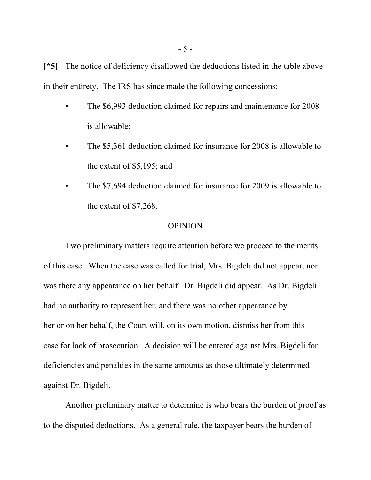**[\*5]** The notice of deficiency disallowed the deductions listed in the table above in their entirety. The IRS has since made the following concessions:

- The \$6,993 deduction claimed for repairs and maintenance for 2008 is allowable;
- The \$5,361 deduction claimed for insurance for 2008 is allowable to the extent of \$5,195; and
- The \$7,694 deduction claimed for insurance for 2009 is allowable to the extent of \$7,268.

#### OPINION

Two preliminary matters require attention before we proceed to the merits of this case. When the case was called for trial, Mrs. Bigdeli did not appear, nor was there any appearance on her behalf. Dr. Bigdeli did appear. As Dr. Bigdeli had no authority to represent her, and there was no other appearance by her or on her behalf, the Court will, on its own motion, dismiss her from this case for lack of prosecution. A decision will be entered against Mrs. Bigdeli for deficiencies and penalties in the same amounts as those ultimately determined against Dr. Bigdeli.

Another preliminary matter to determine is who bears the burden of proof as to the disputed deductions. As a general rule, the taxpayer bears the burden of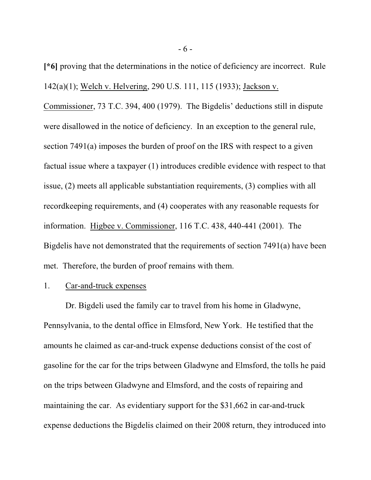**[\*6]** proving that the determinations in the notice of deficiency are incorrect. Rule 142(a)(1); Welch v. Helvering, 290 U.S. 111, 115 (1933); Jackson v.

Commissioner, 73 T.C. 394, 400 (1979). The Bigdelis' deductions still in dispute were disallowed in the notice of deficiency. In an exception to the general rule, section 7491(a) imposes the burden of proof on the IRS with respect to a given factual issue where a taxpayer (1) introduces credible evidence with respect to that issue, (2) meets all applicable substantiation requirements, (3) complies with all recordkeeping requirements, and (4) cooperates with any reasonable requests for information. Higbee v. Commissioner, 116 T.C. 438, 440-441 (2001). The Bigdelis have not demonstrated that the requirements of section 7491(a) have been met. Therefore, the burden of proof remains with them.

#### 1. Car-and-truck expenses

Dr. Bigdeli used the family car to travel from his home in Gladwyne, Pennsylvania, to the dental office in Elmsford, New York. He testified that the amounts he claimed as car-and-truck expense deductions consist of the cost of gasoline for the car for the trips between Gladwyne and Elmsford, the tolls he paid on the trips between Gladwyne and Elmsford, and the costs of repairing and maintaining the car. As evidentiary support for the \$31,662 in car-and-truck expense deductions the Bigdelis claimed on their 2008 return, they introduced into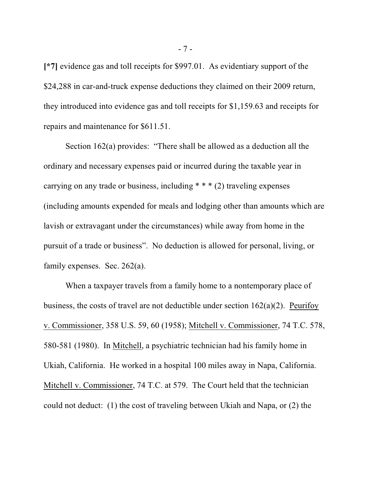**[\*7]** evidence gas and toll receipts for \$997.01. As evidentiary support of the \$24,288 in car-and-truck expense deductions they claimed on their 2009 return, they introduced into evidence gas and toll receipts for \$1,159.63 and receipts for repairs and maintenance for \$611.51.

Section 162(a) provides: "There shall be allowed as a deduction all the ordinary and necessary expenses paid or incurred during the taxable year in carrying on any trade or business, including \* \* \* (2) traveling expenses (including amounts expended for meals and lodging other than amounts which are lavish or extravagant under the circumstances) while away from home in the pursuit of a trade or business". No deduction is allowed for personal, living, or family expenses. Sec. 262(a).

When a taxpayer travels from a family home to a nontemporary place of business, the costs of travel are not deductible under section 162(a)(2). Peurifoy v. Commissioner, 358 U.S. 59, 60 (1958); Mitchell v. Commissioner, 74 T.C. 578, 580-581 (1980). In Mitchell, a psychiatric technician had his family home in Ukiah, California. He worked in a hospital 100 miles away in Napa, California. Mitchell v. Commissioner, 74 T.C. at 579. The Court held that the technician could not deduct: (1) the cost of traveling between Ukiah and Napa, or (2) the

- 7 -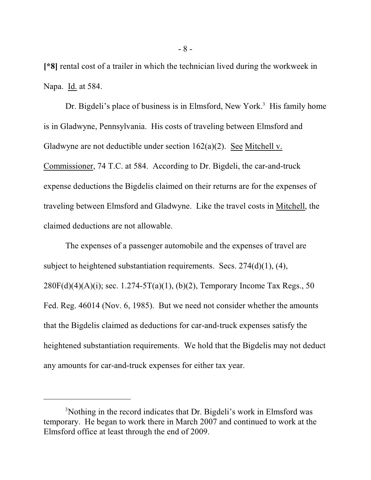**[\*8]** rental cost of a trailer in which the technician lived during the workweek in Napa. Id. at 584.

Dr. Bigdeli's place of business is in Elmsford, New York.<sup>3</sup> His family home is in Gladwyne, Pennsylvania. His costs of traveling between Elmsford and Gladwyne are not deductible under section  $162(a)(2)$ . See Mitchell v. Commissioner, 74 T.C. at 584. According to Dr. Bigdeli, the car-and-truck expense deductions the Bigdelis claimed on their returns are for the expenses of traveling between Elmsford and Gladwyne. Like the travel costs in Mitchell, the claimed deductions are not allowable.

The expenses of a passenger automobile and the expenses of travel are subject to heightened substantiation requirements. Secs.  $274(d)(1)$ ,  $(4)$ ,  $280F(d)(4)(A)(i)$ ; sec. 1.274-5T(a)(1), (b)(2), Temporary Income Tax Regs., 50 Fed. Reg. 46014 (Nov. 6, 1985). But we need not consider whether the amounts that the Bigdelis claimed as deductions for car-and-truck expenses satisfy the heightened substantiation requirements. We hold that the Bigdelis may not deduct any amounts for car-and-truck expenses for either tax year.

<sup>&</sup>lt;sup>3</sup>Nothing in the record indicates that Dr. Bigdeli's work in Elmsford was temporary. He began to work there in March 2007 and continued to work at the Elmsford office at least through the end of 2009.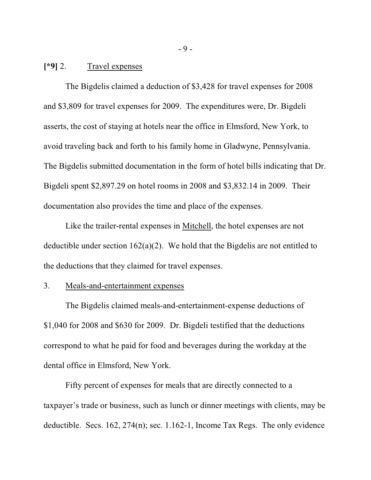### **[\*9]** 2. Travel expenses

The Bigdelis claimed a deduction of \$3,428 for travel expenses for 2008 and \$3,809 for travel expenses for 2009. The expenditures were, Dr. Bigdeli asserts, the cost of staying at hotels near the office in Elmsford, New York, to avoid traveling back and forth to his family home in Gladwyne, Pennsylvania. The Bigdelis submitted documentation in the form of hotel bills indicating that Dr. Bigdeli spent \$2,897.29 on hotel rooms in 2008 and \$3,832.14 in 2009. Their documentation also provides the time and place of the expenses.

Like the trailer-rental expenses in Mitchell, the hotel expenses are not deductible under section 162(a)(2). We hold that the Bigdelis are not entitled to the deductions that they claimed for travel expenses.

### 3. Meals-and-entertainment expenses

The Bigdelis claimed meals-and-entertainment-expense deductions of \$1,040 for 2008 and \$630 for 2009. Dr. Bigdeli testified that the deductions correspond to what he paid for food and beverages during the workday at the dental office in Elmsford, New York.

Fifty percent of expenses for meals that are directly connected to a taxpayer's trade or business, such as lunch or dinner meetings with clients, may be deductible. Secs. 162, 274(n); sec. 1.162-1, Income Tax Regs. The only evidence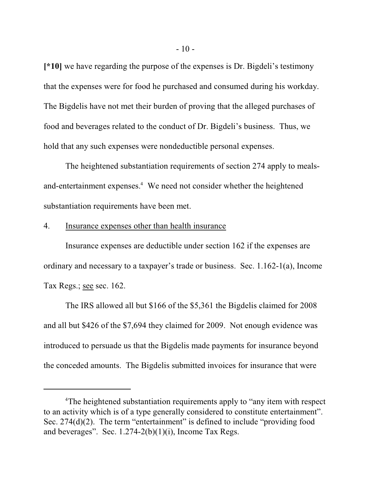**[\*10]** we have regarding the purpose of the expenses is Dr. Bigdeli's testimony that the expenses were for food he purchased and consumed during his workday. The Bigdelis have not met their burden of proving that the alleged purchases of food and beverages related to the conduct of Dr. Bigdeli's business. Thus, we hold that any such expenses were nondeductible personal expenses.

The heightened substantiation requirements of section 274 apply to mealsand-entertainment expenses.<sup>4</sup> We need not consider whether the heightened substantiation requirements have been met.

#### 4. Insurance expenses other than health insurance

Insurance expenses are deductible under section 162 if the expenses are ordinary and necessary to a taxpayer's trade or business. Sec. 1.162-1(a), Income Tax Regs.; see sec. 162.

The IRS allowed all but \$166 of the \$5,361 the Bigdelis claimed for 2008 and all but \$426 of the \$7,694 they claimed for 2009. Not enough evidence was introduced to persuade us that the Bigdelis made payments for insurance beyond the conceded amounts. The Bigdelis submitted invoices for insurance that were

<sup>&</sup>lt;sup>4</sup>The heightened substantiation requirements apply to "any item with respect to an activity which is of a type generally considered to constitute entertainment". Sec. 274(d)(2). The term "entertainment" is defined to include "providing food and beverages". Sec.  $1.274-2(b)(1)(i)$ , Income Tax Regs.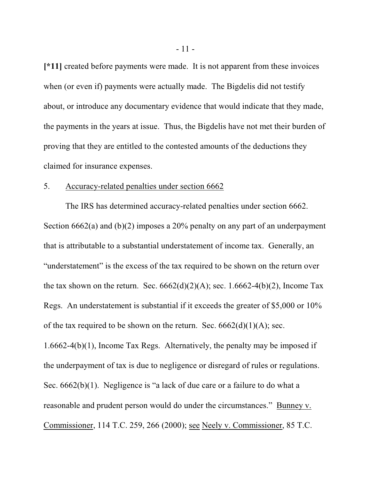**[\*11]** created before payments were made. It is not apparent from these invoices when (or even if) payments were actually made. The Bigdelis did not testify about, or introduce any documentary evidence that would indicate that they made, the payments in the years at issue. Thus, the Bigdelis have not met their burden of proving that they are entitled to the contested amounts of the deductions they claimed for insurance expenses.

#### 5. Accuracy-related penalties under section 6662

The IRS has determined accuracy-related penalties under section 6662. Section 6662(a) and (b)(2) imposes a 20% penalty on any part of an underpayment that is attributable to a substantial understatement of income tax. Generally, an "understatement" is the excess of the tax required to be shown on the return over the tax shown on the return. Sec.  $6662(d)(2)(A)$ ; sec. 1.6662-4(b)(2), Income Tax Regs. An understatement is substantial if it exceeds the greater of \$5,000 or 10% of the tax required to be shown on the return. Sec.  $6662(d)(1)(A)$ ; sec. 1.6662-4(b)(1), Income Tax Regs. Alternatively, the penalty may be imposed if the underpayment of tax is due to negligence or disregard of rules or regulations. Sec.  $6662(b)(1)$ . Negligence is "a lack of due care or a failure to do what a reasonable and prudent person would do under the circumstances." Bunney v. Commissioner, 114 T.C. 259, 266 (2000); see Neely v. Commissioner, 85 T.C.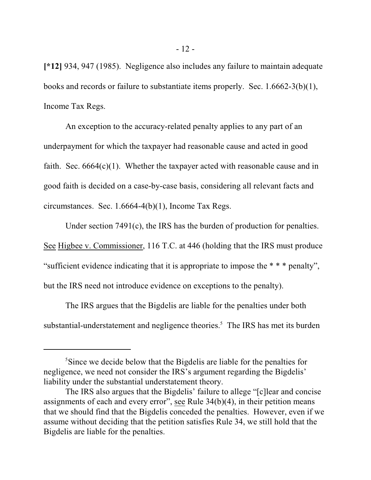**[\*12]** 934, 947 (1985). Negligence also includes any failure to maintain adequate books and records or failure to substantiate items properly. Sec. 1.6662-3(b)(1), Income Tax Regs.

An exception to the accuracy-related penalty applies to any part of an underpayment for which the taxpayer had reasonable cause and acted in good faith. Sec.  $6664(c)(1)$ . Whether the taxpayer acted with reasonable cause and in good faith is decided on a case-by-case basis, considering all relevant facts and circumstances. Sec. 1.6664-4(b)(1), Income Tax Regs.

Under section 7491(c), the IRS has the burden of production for penalties. See Higbee v. Commissioner, 116 T.C. at 446 (holding that the IRS must produce "sufficient evidence indicating that it is appropriate to impose the \* \* \* penalty", but the IRS need not introduce evidence on exceptions to the penalty).

The IRS argues that the Bigdelis are liable for the penalties under both substantial-understatement and negligence theories.<sup>5</sup> The IRS has met its burden

<sup>&</sup>lt;sup>5</sup>Since we decide below that the Bigdelis are liable for the penalties for negligence, we need not consider the IRS's argument regarding the Bigdelis' liability under the substantial understatement theory.

The IRS also argues that the Bigdelis' failure to allege "[c]lear and concise assignments of each and every error", see Rule  $34(b)(4)$ , in their petition means that we should find that the Bigdelis conceded the penalties. However, even if we assume without deciding that the petition satisfies Rule 34, we still hold that the Bigdelis are liable for the penalties.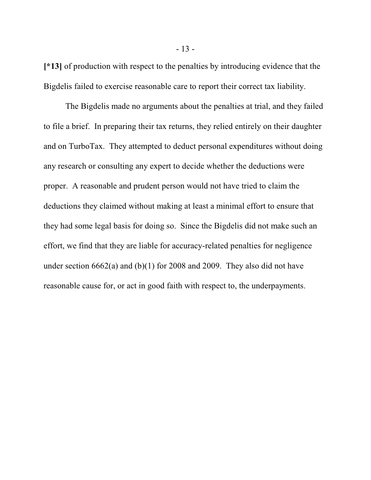**[\*13]** of production with respect to the penalties by introducing evidence that the Bigdelis failed to exercise reasonable care to report their correct tax liability.

The Bigdelis made no arguments about the penalties at trial, and they failed to file a brief. In preparing their tax returns, they relied entirely on their daughter and on TurboTax. They attempted to deduct personal expenditures without doing any research or consulting any expert to decide whether the deductions were proper. A reasonable and prudent person would not have tried to claim the deductions they claimed without making at least a minimal effort to ensure that they had some legal basis for doing so. Since the Bigdelis did not make such an effort, we find that they are liable for accuracy-related penalties for negligence under section 6662(a) and (b)(1) for 2008 and 2009. They also did not have reasonable cause for, or act in good faith with respect to, the underpayments.